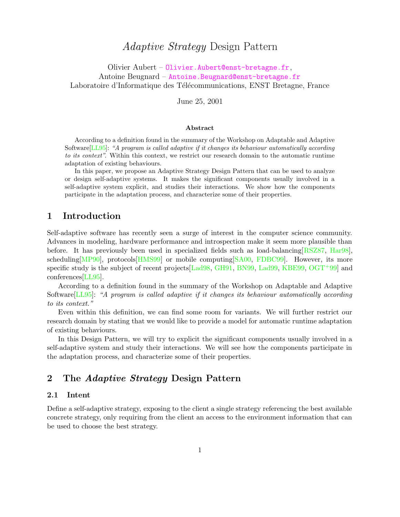# Adaptive Strategy Design Pattern

Olivier Aubert – [Olivier.Aubert@enst-bretagne.fr](mailto:Olivier.Aubert@enst-bretagne.fr), Antoine Beugnard – [Antoine.Beugnard@enst-bretagne.fr](mailto:Antoine.Beugnard@enst-bretagne.fr) Laboratoire d'Informatique des Télécommunications, ENST Bretagne, France

June 25, 2001

#### Abstract

According to a definition found in the summary of the Workshop on Adaptable and Adaptive Software[\[LL95\]](#page-11-0): "A program is called adaptive if it changes its behaviour automatically according to its context". Within this context, we restrict our research domain to the automatic runtime adaptation of existing behaviours.

In this paper, we propose an Adaptive Strategy Design Pattern that can be used to analyze or design self-adaptive systems. It makes the significant components usually involved in a self-adaptive system explicit, and studies their interactions. We show how the components participate in the adaptation process, and characterize some of their properties.

## 1 Introduction

Self-adaptive software has recently seen a surge of interest in the computer science community. Advances in modeling, hardware performance and introspection make it seem more plausible than before. It has previously been used in specialized fields such as load-balancing[\[RSZ87,](#page-11-1) [Har98\]](#page-10-0), scheduling[\[MP90\]](#page-11-2), protocols[\[HMS99\]](#page-11-3) or mobile computing[\[SA00,](#page-11-4) [FDBC99\]](#page-10-1). However, its more specific study is the subject of recent projects [\[Lad98,](#page-11-5) [GH91,](#page-10-2) [BN99,](#page-10-3) [Lad99,](#page-11-6) [KBE99,](#page-11-7) [OGT](#page-11-8)<sup>+99]</sup> and conferences[\[LL95\]](#page-11-0).

According to a definition found in the summary of the Workshop on Adaptable and Adaptive Software[\[LL95\]](#page-11-0): "A program is called adaptive if it changes its behaviour automatically according to its context."

Even within this definition, we can find some room for variants. We will further restrict our research domain by stating that we would like to provide a model for automatic runtime adaptation of existing behaviours.

In this Design Pattern, we will try to explicit the significant components usually involved in a self-adaptive system and study their interactions. We will see how the components participate in the adaptation process, and characterize some of their properties.

# 2 The Adaptive Strategy Design Pattern

#### 2.1 Intent

Define a self-adaptive strategy, exposing to the client a single strategy referencing the best available concrete strategy, only requiring from the client an access to the environment information that can be used to choose the best strategy.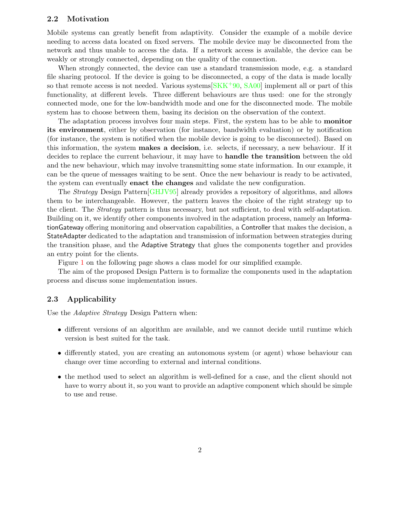#### 2.2 Motivation

Mobile systems can greatly benefit from adaptivity. Consider the example of a mobile device needing to access data located on fixed servers. The mobile device may be disconnected from the network and thus unable to access the data. If a network access is available, the device can be weakly or strongly connected, depending on the quality of the connection.

When strongly connected, the device can use a standard transmission mode, e.g. a standard file sharing protocol. If the device is going to be disconnected, a copy of the data is made locally so that remote access is not needed. Various systems  $[SKK^+90, SA00]$  $[SKK^+90, SA00]$  $[SKK^+90, SA00]$  implement all or part of this functionality, at different levels. Three different behaviours are thus used: one for the strongly connected mode, one for the low-bandwidth mode and one for the disconnected mode. The mobile system has to choose between them, basing its decision on the observation of the context.

The adaptation process involves four main steps. First, the system has to be able to monitor its environment, either by observation (for instance, bandwidth evaluation) or by notification (for instance, the system is notified when the mobile device is going to be disconnected). Based on this information, the system makes a decision, i.e. selects, if necessary, a new behaviour. If it decides to replace the current behaviour, it may have to handle the transition between the old and the new behaviour, which may involve transmitting some state information. In our example, it can be the queue of messages waiting to be sent. Once the new behaviour is ready to be activated, the system can eventually enact the changes and validate the new configuration.

The Strategy Design Pattern[\[GHJV95\]](#page-10-4) already provides a repository of algorithms, and allows them to be interchangeable. However, the pattern leaves the choice of the right strategy up to the client. The Strategy pattern is thus necessary, but not sufficient, to deal with self-adaptation. Building on it, we identify other components involved in the adaptation process, namely an InformationGateway offering monitoring and observation capabilities, a Controller that makes the decision, a StateAdapter dedicated to the adaptation and transmission of information between strategies during the transition phase, and the Adaptive Strategy that glues the components together and provides an entry point for the clients.

Figure [1](#page-2-0) on the following page shows a class model for our simplified example.

The aim of the proposed Design Pattern is to formalize the components used in the adaptation process and discuss some implementation issues.

#### 2.3 Applicability

Use the *Adaptive Strategy* Design Pattern when:

- different versions of an algorithm are available, and we cannot decide until runtime which version is best suited for the task.
- differently stated, you are creating an autonomous system (or agent) whose behaviour can change over time according to external and internal conditions.
- the method used to select an algorithm is well-defined for a case, and the client should not have to worry about it, so you want to provide an adaptive component which should be simple to use and reuse.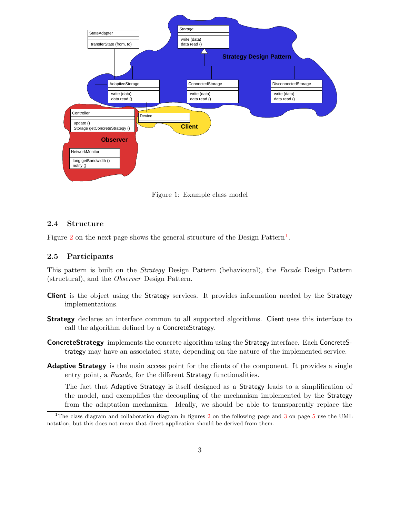

<span id="page-2-0"></span>Figure 1: Example class model

#### 2.4 Structure

Figure [2](#page-3-0) on the next page shows the general structure of the Design Pattern<sup>[1](#page-2-1)</sup>.

#### 2.5 Participants

This pattern is built on the Strategy Design Pattern (behavioural), the Facade Design Pattern (structural), and the Observer Design Pattern.

- Client is the object using the Strategy services. It provides information needed by the Strategy implementations.
- **Strategy** declares an interface common to all supported algorithms. Client uses this interface to call the algorithm defined by a ConcreteStrategy.
- **ConcreteStrategy** implements the concrete algorithm using the Strategy interface. Each ConcreteStrategy may have an associated state, depending on the nature of the implemented service.
- **Adaptive Strategy** is the main access point for the clients of the component. It provides a single entry point, a Facade, for the different Strategy functionalities.

The fact that Adaptive Strategy is itself designed as a Strategy leads to a simplification of the model, and exemplifies the decoupling of the mechanism implemented by the Strategy from the adaptation mechanism. Ideally, we should be able to transparently replace the

<span id="page-2-1"></span><sup>&</sup>lt;sup>1</sup>The class diagram and collaboration diagram in figures [2](#page-3-0) on the following page and [3](#page-4-0) on page  $5$  use the UML notation, but this does not mean that direct application should be derived from them.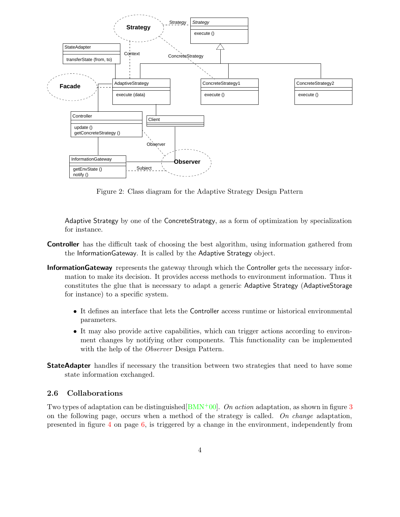

<span id="page-3-0"></span>Figure 2: Class diagram for the Adaptive Strategy Design Pattern

Adaptive Strategy by one of the ConcreteStrategy, as a form of optimization by specialization for instance.

- Controller has the difficult task of choosing the best algorithm, using information gathered from the InformationGateway. It is called by the Adaptive Strategy object.
- InformationGateway represents the gateway through which the Controller gets the necessary information to make its decision. It provides access methods to environment information. Thus it constitutes the glue that is necessary to adapt a generic Adaptive Strategy (AdaptiveStorage for instance) to a specific system.
	- It defines an interface that lets the Controller access runtime or historical environmental parameters.
	- It may also provide active capabilities, which can trigger actions according to environment changes by notifying other components. This functionality can be implemented with the help of the *Observer* Design Pattern.
- **StateAdapter** handles if necessary the transition between two strategies that need to have some state information exchanged.

#### <span id="page-3-1"></span>2.6 Collaborations

Two types of adaptation can be distinguished  $(BMN<sup>+</sup>00)$ . On action adaptation, as shown in figure [3](#page-4-0) on the following page, occurs when a method of the strategy is called. On change adaptation, presented in figure [4](#page-5-0) on page [6,](#page-5-0) is triggered by a change in the environment, independently from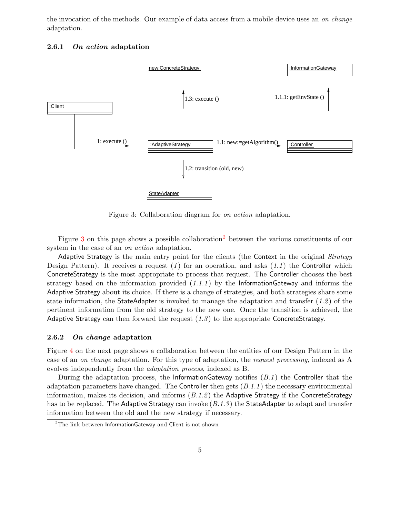the invocation of the methods. Our example of data access from a mobile device uses an on change adaptation.



#### 2.6.1 On action adaptation

<span id="page-4-0"></span>Figure 3: Collaboration diagram for on action adaptation.

Figure [3](#page-4-0) on this page shows a possible collaboration[2](#page-4-1) between the various constituents of our system in the case of an *on action* adaptation.

Adaptive Strategy is the main entry point for the clients (the Context in the original Strategy Design Pattern). It receives a request  $(1)$  for an operation, and asks  $(1.1)$  the Controller which ConcreteStrategy is the most appropriate to process that request. The Controller chooses the best strategy based on the information provided  $(1.1.1)$  by the InformationGateway and informs the Adaptive Strategy about its choice. If there is a change of strategies, and both strategies share some state information, the StateAdapter is invoked to manage the adaptation and transfer  $(1.2)$  of the pertinent information from the old strategy to the new one. Once the transition is achieved, the Adaptive Strategy can then forward the request  $(1.3)$  to the appropriate ConcreteStrategy.

#### 2.6.2 On change adaptation

Figure [4](#page-5-0) on the next page shows a collaboration between the entities of our Design Pattern in the case of an on change adaptation. For this type of adaptation, the request processing, indexed as A evolves independently from the adaptation process, indexed as B.

During the adaptation process, the InformationGateway notifies  $(B.1)$  the Controller that the adaptation parameters have changed. The Controller then gets  $(B.1.1)$  the necessary environmental information, makes its decision, and informs  $(B.1.2)$  the Adaptive Strategy if the ConcreteStrategy has to be replaced. The Adaptive Strategy can invoke  $(B.1.3)$  the StateAdapter to adapt and transfer information between the old and the new strategy if necessary.

<span id="page-4-1"></span> $2$ The link between InformationGateway and Client is not shown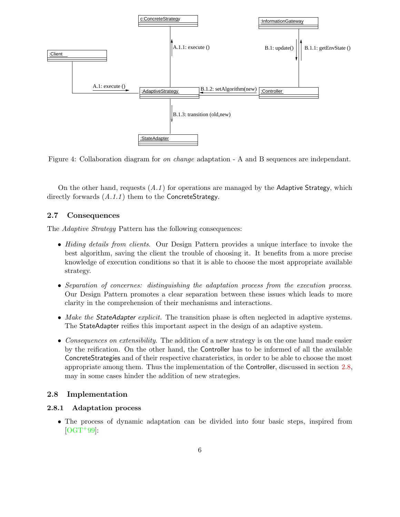

<span id="page-5-0"></span>Figure 4: Collaboration diagram for on change adaptation - A and B sequences are independant.

On the other hand, requests  $(A.1)$  for operations are managed by the Adaptive Strategy, which directly forwards  $(A.1.1)$  them to the ConcreteStrategy.

### 2.7 Consequences

The Adaptive Strategy Pattern has the following consequences:

- Hiding details from clients. Our Design Pattern provides a unique interface to invoke the best algorithm, saving the client the trouble of choosing it. It benefits from a more precise knowledge of execution conditions so that it is able to choose the most appropriate available strategy.
- Separation of concernes: distinguishing the adaptation process from the execution process. Our Design Pattern promotes a clear separation between these issues which leads to more clarity in the comprehension of their mechanisms and interactions.
- Make the StateAdapter explicit. The transition phase is often neglected in adaptive systems. The StateAdapter reifies this important aspect in the design of an adaptive system.
- Consequences on extensibility. The addition of a new strategy is on the one hand made easier by the reification. On the other hand, the Controller has to be informed of all the available ConcreteStrategies and of their respective charateristics, in order to be able to choose the most appropriate among them. Thus the implementation of the Controller, discussed in section [2.8,](#page-5-1) may in some cases hinder the addition of new strategies.

#### <span id="page-5-1"></span>2.8 Implementation

#### 2.8.1 Adaptation process

• The process of dynamic adaptation can be divided into four basic steps, inspired from  $[OGT+99]$  $[OGT+99]$ :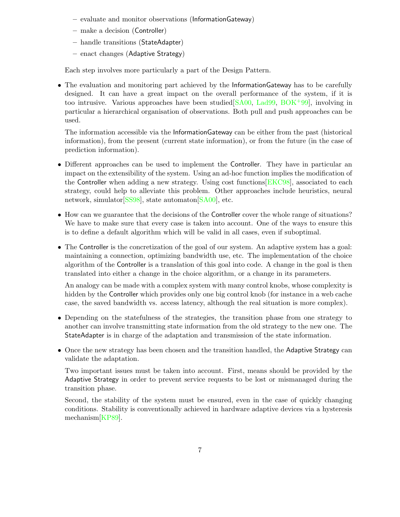- evaluate and monitor observations (InformationGateway)
- make a decision (Controller)
- handle transitions (StateAdapter)
- enact changes (Adaptive Strategy)

Each step involves more particularly a part of the Design Pattern.

• The evaluation and monitoring part achieved by the Information Gateway has to be carefully designed. It can have a great impact on the overall performance of the system, if it is too intrusive. Various approaches have been studied  $[SA00, \text{Lad}99, \text{BOK}^{+}99]$  $[SA00, \text{Lad}99, \text{BOK}^{+}99]$  $[SA00, \text{Lad}99, \text{BOK}^{+}99]$  $[SA00, \text{Lad}99, \text{BOK}^{+}99]$ , involving in particular a hierarchical organisation of observations. Both pull and push approaches can be used.

The information accessible via the InformationGateway can be either from the past (historical information), from the present (current state information), or from the future (in the case of prediction information).

- Different approaches can be used to implement the Controller. They have in particular an impact on the extensibility of the system. Using an ad-hoc function implies the modification of the Controller when adding a new strategy. Using cost functions[\[EKC98\]](#page-10-7), associated to each strategy, could help to alleviate this problem. Other approaches include heuristics, neural network, simulator [\[SS98\]](#page-11-10), state automaton [\[SA00\]](#page-11-4), etc.
- How can we guarantee that the decisions of the Controller cover the whole range of situations? We have to make sure that every case is taken into account. One of the ways to ensure this is to define a default algorithm which will be valid in all cases, even if suboptimal.
- The Controller is the concretization of the goal of our system. An adaptive system has a goal: maintaining a connection, optimizing bandwidth use, etc. The implementation of the choice algorithm of the Controller is a translation of this goal into code. A change in the goal is then translated into either a change in the choice algorithm, or a change in its parameters.

An analogy can be made with a complex system with many control knobs, whose complexity is hidden by the Controller which provides only one big control knob (for instance in a web cache case, the saved bandwidth vs. access latency, although the real situation is more complex).

- Depending on the statefulness of the strategies, the transition phase from one strategy to another can involve transmitting state information from the old strategy to the new one. The StateAdapter is in charge of the adaptation and transmission of the state information.
- Once the new strategy has been chosen and the transition handled, the Adaptive Strategy can validate the adaptation.

Two important issues must be taken into account. First, means should be provided by the Adaptive Strategy in order to prevent service requests to be lost or mismanaged during the transition phase.

Second, the stability of the system must be ensured, even in the case of quickly changing conditions. Stability is conventionally achieved in hardware adaptive devices via a hysteresis mechanism[\[KP89\]](#page-11-11).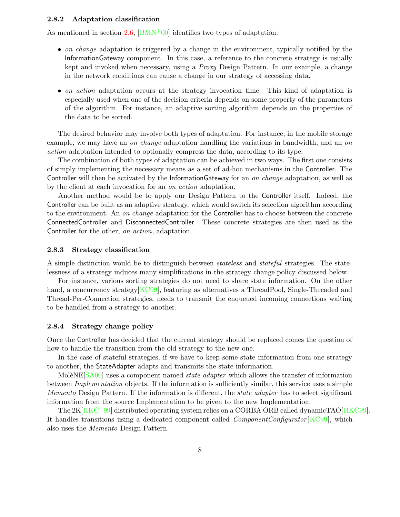#### 2.8.2 Adaptation classification

As mentioned in section [2.6,](#page-3-1)  $[BMN^+00]$  $[BMN^+00]$  identifies two types of adaptation:

- on change adaptation is triggered by a change in the environment, typically notified by the InformationGateway component. In this case, a reference to the concrete strategy is usually kept and invoked when necessary, using a Proxy Design Pattern. In our example, a change in the network conditions can cause a change in our strategy of accessing data.
- on action adaptation occurs at the strategy invocation time. This kind of adaptation is especially used when one of the decision criteria depends on some property of the parameters of the algorithm. For instance, an adaptive sorting algorithm depends on the properties of the data to be sorted.

The desired behavior may involve both types of adaptation. For instance, in the mobile storage example, we may have an on change adaptation handling the variations in bandwidth, and an on action adaptation intended to optionally compress the data, according to its type.

The combination of both types of adaptation can be achieved in two ways. The first one consists of simply implementing the necessary means as a set of ad-hoc mechanisms in the Controller. The Controller will then be activated by the InformationGateway for an on change adaptation, as well as by the client at each invocation for an on action adaptation.

Another method would be to apply our Design Pattern to the Controller itself. Indeed, the Controller can be built as an adaptive strategy, which would switch its selection algorithm according to the environment. An on change adaptation for the Controller has to choose between the concrete ConnectedController and DisconnectedController. These concrete strategies are then used as the Controller for the other, on action, adaptation.

#### 2.8.3 Strategy classification

A simple distinction would be to distinguish between stateless and stateful strategies. The statelessness of a strategy induces many simplifications in the strategy change policy discussed below.

For instance, various sorting strategies do not need to share state information. On the other hand, a concurrency strategy [\[KC99\]](#page-11-12), featuring as alternatives a ThreadPool, Single-Threaded and Thread-Per-Connection strategies, needs to transmit the enqueued incoming connections waiting to be handled from a strategy to another.

#### 2.8.4 Strategy change policy

Once the Controller has decided that the current strategy should be replaced comes the question of how to handle the transition from the old strategy to the new one.

In the case of stateful strategies, if we have to keep some state information from one strategy to another, the StateAdapter adapts and transmits the state information.

MoleNE $[SA00]$  uses a component named *state adapter* which allows the transfer of information between Implementation objects. If the information is sufficiently similar, this service uses a simple Memento Design Pattern. If the information is different, the *state adapter* has to select significant information from the source Implementation to be given to the new Implementation.

The 2K<sup>[\[HKC](#page-10-8)+99]</sup> distributed operating system relies on a CORBA ORB called dynamicTAO<sup>[\[RKC99\]](#page-11-13)</sup>. It handles transitions using a dedicated component called *ComponentConfigurator* [\[KC99\]](#page-11-12), which also uses the Memento Design Pattern.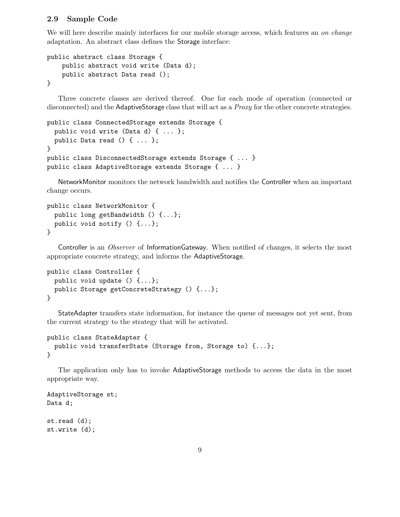#### 2.9 Sample Code

We will here describe mainly interfaces for our mobile storage access, which features an on change adaptation. An abstract class defines the Storage interface:

```
public abstract class Storage {
    public abstract void write (Data d);
    public abstract Data read ();
}
```
Three concrete classes are derived thereof. One for each mode of operation (connected or disconnected) and the AdaptiveStorage class that will act as a *Proxy* for the other concrete strategies.

```
public class ConnectedStorage extends Storage {
 public void write (Data d) { ... };
 public Data read () { ... };
}
public class DisconnectedStorage extends Storage { ... }
public class AdaptiveStorage extends Storage { ... }
```
NetworkMonitor monitors the network bandwidth and notifies the Controller when an important change occurs.

```
public class NetworkMonitor {
 public long getBandwidth () {...};
 public void notify () {...};
}
```
Controller is an *Observer* of InformationGateway. When notified of changes, it selects the most appropriate concrete strategy, and informs the AdaptiveStorage.

```
public class Controller {
 public void update () {...};
 public Storage getConcreteStrategy () {...};
}
```
StateAdapter transfers state information, for instance the queue of messages not yet sent, from the current strategy to the strategy that will be activated.

```
public class StateAdapter {
 public void transferState (Storage from, Storage to) {...};
}
```
The application only has to invoke AdaptiveStorage methods to access the data in the most appropriate way.

```
AdaptiveStorage st;
Data d;
st.read (d);
```

```
st.write (d);
```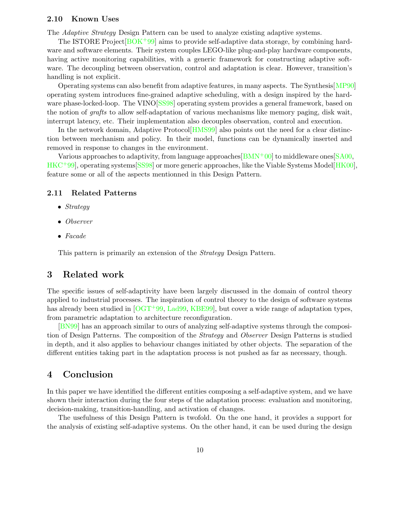#### 2.10 Known Uses

The Adaptive Strategy Design Pattern can be used to analyze existing adaptive systems.

The ISTORE Project[\[BOK](#page-10-6)+99] aims to provide self-adaptive data storage, by combining hardware and software elements. Their system couples LEGO-like plug-and-play hardware components, having active monitoring capabilities, with a generic framework for constructing adaptive software. The decoupling between observation, control and adaptation is clear. However, transition's handling is not explicit.

Operating systems can also benefit from adaptive features, in many aspects. The Synthesis[\[MP90\]](#page-11-2) operating system introduces fine-grained adaptive scheduling, with a design inspired by the hard-ware phase-locked-loop. The VINO [\[SS98\]](#page-11-10) operating system provides a general framework, based on the notion of grafts to allow self-adaptation of various mechanisms like memory paging, disk wait, interrupt latency, etc. Their implementation also decouples observation, control and execution.

In the network domain, Adaptive Protocol[\[HMS99\]](#page-11-3) also points out the need for a clear distinction between mechanism and policy. In their model, functions can be dynamically inserted and removed in response to changes in the environment.

Various approaches to adaptivity, from language approaches  $[BMN^+00]$  $[BMN^+00]$  to middleware ones  $[SA00]$ , [HKC](#page-10-8)<sup>+</sup>99], operating systems<sup>[\[SS98\]](#page-11-10)</sup> or more generic approaches, like the Viable Systems Model<sup>[\[HK00\]](#page-10-9)</sup>, feature some or all of the aspects mentionned in this Design Pattern.

#### 2.11 Related Patterns

- Strategy
- Observer
- Facade

This pattern is primarily an extension of the Strategy Design Pattern.

## 3 Related work

The specific issues of self-adaptivity have been largely discussed in the domain of control theory applied to industrial processes. The inspiration of control theory to the design of software systems has already been studied in [\[OGT](#page-11-8)<sup>+99</sup>, Lad<sup>99</sup>, [KBE99\]](#page-11-7), but cover a wide range of adaptation types, from parametric adaptation to architecture reconfiguration.

[\[BN99\]](#page-10-3) has an approach similar to ours of analyzing self-adaptive systems through the composition of Design Patterns. The composition of the Strategy and Observer Design Patterns is studied in depth, and it also applies to behaviour changes initiated by other objects. The separation of the different entities taking part in the adaptation process is not pushed as far as necessary, though.

## 4 Conclusion

In this paper we have identified the different entities composing a self-adaptive system, and we have shown their interaction during the four steps of the adaptation process: evaluation and monitoring, decision-making, transition-handling, and activation of changes.

The usefulness of this Design Pattern is twofold. On the one hand, it provides a support for the analysis of existing self-adaptive systems. On the other hand, it can be used during the design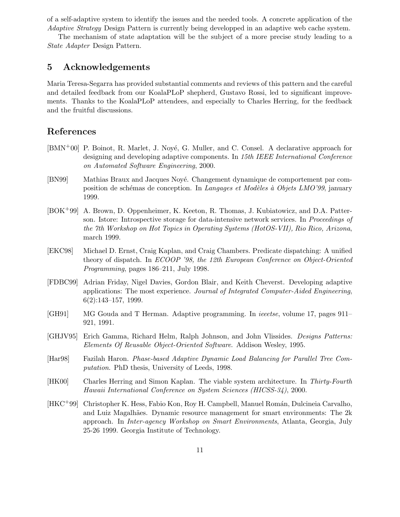of a self-adaptive system to identify the issues and the needed tools. A concrete application of the Adaptive Strategy Design Pattern is currently being developped in an adaptive web cache system.

The mechanism of state adaptation will be the subject of a more precise study leading to a State Adapter Design Pattern.

## 5 Acknowledgements

Maria Teresa-Segarra has provided substantial comments and reviews of this pattern and the careful and detailed feedback from our KoalaPLoP shepherd, Gustavo Rossi, led to significant improvements. Thanks to the KoalaPLoP attendees, and especially to Charles Herring, for the feedback and the fruitful discussions.

## References

- <span id="page-10-5"></span>[BMN+00] P. Boinot, R. Marlet, J. Nové, G. Muller, and C. Consel. A declarative approach for designing and developing adaptive components. In 15th IEEE International Conference on Automated Software Engineering, 2000.
- <span id="page-10-3"></span>[BN99] Mathias Braux and Jacques Noyé. Changement dynamique de comportement par composition de schémas de conception. In Langages et Modèles à Objets LMO'99, january 1999.
- <span id="page-10-6"></span>[BOK+99] A. Brown, D. Oppenheimer, K. Keeton, R. Thomas, J. Kubiatowicz, and D.A. Patterson. Istore: Introspective storage for data-intensive network services. In Proceedings of the 7th Workshop on Hot Topics in Operating Systems (HotOS-VII), Rio Rico, Arizona, march 1999.
- <span id="page-10-7"></span>[EKC98] Michael D. Ernst, Craig Kaplan, and Craig Chambers. Predicate dispatching: A unified theory of dispatch. In ECOOP '98, the 12th European Conference on Object-Oriented Programming, pages 186–211, July 1998.
- <span id="page-10-1"></span>[FDBC99] Adrian Friday, Nigel Davies, Gordon Blair, and Keith Cheverst. Developing adaptive applications: The most experience. Journal of Integrated Computer-Aided Engineering, 6(2):143–157, 1999.
- <span id="page-10-2"></span>[GH91] MG Gouda and T Herman. Adaptive programming. In ieeetse, volume 17, pages 911– 921, 1991.
- <span id="page-10-4"></span>[GHJV95] Erich Gamma, Richard Helm, Ralph Johnson, and John Vlissides. Designs Patterns: Elements Of Reusable Object-Oriented Software. Addison Wesley, 1995.
- <span id="page-10-0"></span>[Har98] Fazilah Haron. Phase-based Adaptive Dynamic Load Balancing for Parallel Tree Computation. PhD thesis, University of Leeds, 1998.
- <span id="page-10-9"></span>[HK00] Charles Herring and Simon Kaplan. The viable system architecture. In Thirty-Fourth Hawaii International Conference on System Sciences (HICSS-34), 2000.
- <span id="page-10-8"></span>[HKC<sup>+</sup>99] Christopher K. Hess, Fabio Kon, Roy H. Campbell, Manuel Román, Dulcineia Carvalho, and Luiz Magalh˜aes. Dynamic resource management for smart environments: The 2k approach. In Inter-agency Workshop on Smart Environments, Atlanta, Georgia, July 25-26 1999. Georgia Institute of Technology.